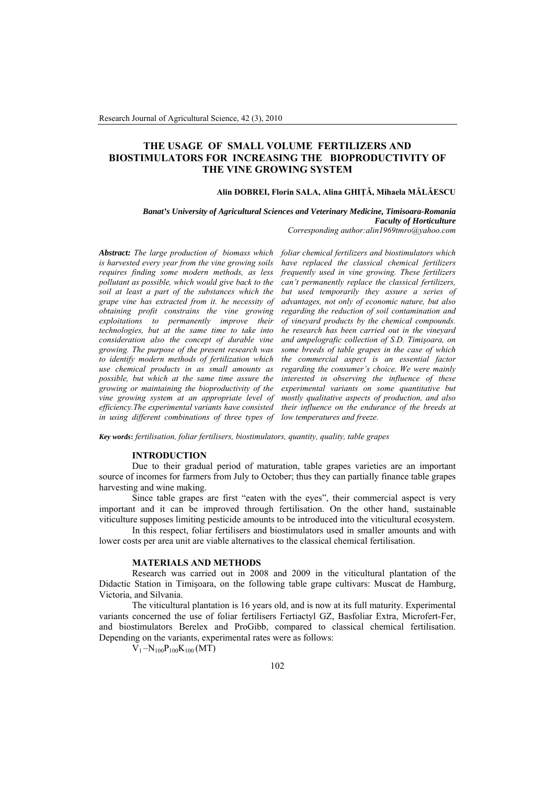# **THE USAGE OF SMALL VOLUME FERTILIZERS AND BIOSTIMULATORS FOR INCREASING THE BIOPRODUCTIVITY OF THE VINE GROWING SYSTEM**

### **Alin DOBREI, Florin SALA, Alina GHIŢĂ, Mihaela MĂLĂESCU**

*Banat's University of Agricultural Sciences and Veterinary Medicine, Timisoara-Romania Faculty of Horticulture* 

*Corresponding author:alin1969tmro@yahoo.com*

*Abstract: The large production of biomass which foliar chemical fertilizers and biostimulators which is harvested every year from the vine growing soils requires finding some modern methods, as less pollutant as possible, which would give back to the soil at least a part of the substances which the grape vine has extracted from it. he necessity of obtaining profit constrains the vine growing exploitations to permanently improve their technologies, but at the same time to take into consideration also the concept of durable vine growing. The purpose of the present research was to identify modern methods of fertilization which use chemical products in as small amounts as possible, but which at the same time assure the growing or maintaining the bioproductivity of the vine growing system at an appropriate level of efficiency.The experimental variants have consisted in using different combinations of three types of low temperatures and freeze.* 

*have replaced the classical chemical fertilizers frequently used in vine growing. These fertilizers can't permanently replace the classical fertilizers, but used temporarily they assure a series of advantages, not only of economic nature, but also regarding the reduction of soil contamination and of vineyard products by the chemical compounds. he research has been carried out in the vineyard and ampelografic collection of S.D. Timişoara, on some breeds of table grapes in the case of which the commercial aspect is an essential factor regarding the consumer's choice. We were mainly interested in observing the influence of these experimental variants on some quantitative but mostly qualitative aspects of production, and also their influence on the endurance of the breeds at* 

*Key words***:** *fertilisation, foliar fertilisers, biostimulators, quantity, quality, table grapes*

#### **INTRODUCTION**

Due to their gradual period of maturation, table grapes varieties are an important source of incomes for farmers from July to October; thus they can partially finance table grapes harvesting and wine making.

Since table grapes are first "eaten with the eyes", their commercial aspect is very important and it can be improved through fertilisation. On the other hand, sustainable viticulture supposes limiting pesticide amounts to be introduced into the viticultural ecosystem.

In this respect, foliar fertilisers and biostimulators used in smaller amounts and with lower costs per area unit are viable alternatives to the classical chemical fertilisation.

#### **MATERIALS AND METHODS**

Research was carried out in 2008 and 2009 in the viticultural plantation of the Didactic Station in Timişoara, on the following table grape cultivars: Muscat de Hamburg, Victoria, and Silvania.

The viticultural plantation is 16 years old, and is now at its full maturity. Experimental variants concerned the use of foliar fertilisers Fertiactyl GZ, Basfoliar Extra, Microfert-Fer, and biostimulators Berelex and ProGibb, compared to classical chemical fertilisation. Depending on the variants, experimental rates were as follows:

 $V_1 - N_{100}P_{100}K_{100} (MT)$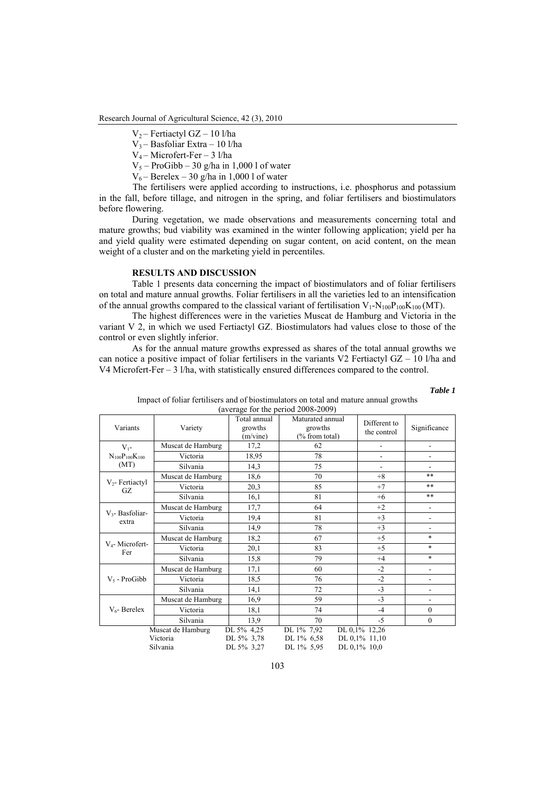Research Journal of Agricultural Science, 42 (3), 2010

 $V_2$  – Fertiactyl GZ – 10 l/ha

V3 – Basfoliar Extra – 10 l/ha

V4 – Microfert-Fer – 3 l/ha

 $V_5$  – ProGibb – 30 g/ha in 1,000 l of water

 $V_6$  – Berelex – 30 g/ha in 1,000 l of water

 The fertilisers were applied according to instructions, i.e. phosphorus and potassium in the fall, before tillage, and nitrogen in the spring, and foliar fertilisers and biostimulators before flowering.

During vegetation, we made observations and measurements concerning total and mature growths; bud viability was examined in the winter following application; yield per ha and yield quality were estimated depending on sugar content, on acid content, on the mean weight of a cluster and on the marketing yield in percentiles.

## **RESULTS AND DISCUSSION**

Table 1 presents data concerning the impact of biostimulators and of foliar fertilisers on total and mature annual growths. Foliar fertilisers in all the varieties led to an intensification of the annual growths compared to the classical variant of fertilisation  $V_1-N_{100}P_{100}K_{100}$  (MT).

The highest differences were in the varieties Muscat de Hamburg and Victoria in the variant V 2, in which we used Fertiactyl GZ. Biostimulators had values close to those of the control or even slightly inferior.

As for the annual mature growths expressed as shares of the total annual growths we can notice a positive impact of foliar fertilisers in the variants V2 Fertiactyl  $GZ - 10$  l/ha and V4 Microfert-Fer – 3 l/ha, with statistically ensured differences compared to the control.

| ۰,<br>$\sim$<br>۰,<br>w<br>×<br>$\sim$ |  |
|----------------------------------------|--|
|----------------------------------------|--|

| (average for the period 2008-2009) |                   |                                     |                                               |                             |                          |  |
|------------------------------------|-------------------|-------------------------------------|-----------------------------------------------|-----------------------------|--------------------------|--|
| Variants                           | Variety           | Total annual<br>growths<br>(m/vine) | Maturated annual<br>growths<br>(% from total) | Different to<br>the control | Significance             |  |
| $V_{1}$ -                          | Muscat de Hamburg | 17,2                                | 62                                            | $\overline{\phantom{0}}$    | L,                       |  |
| $N_{100}P_{100}K_{100}$            | Victoria          | 18,95                               | 78                                            | $\overline{\phantom{a}}$    | $\overline{a}$           |  |
| (MT)                               | Silvania          | 14,3                                | 75                                            |                             |                          |  |
|                                    | Muscat de Hamburg | 18,6                                | 70                                            | $+8$                        | **                       |  |
| $V_2$ - Fertiactyl<br>GZ           | Victoria          | 20,3                                | 85                                            | $+7$                        | **                       |  |
|                                    | Silvania          | 16,1                                | 81                                            | $+6$                        | **                       |  |
|                                    | Muscat de Hamburg | 17,7                                | 64                                            | $+2$                        | L,                       |  |
| $V_3$ - Basfoliar-<br>extra        | Victoria          | 19,4                                | 81                                            | $+3$                        | Ĭ.                       |  |
|                                    | Silvania          | 14,9                                | 78                                            | $+3$                        | $\overline{\phantom{0}}$ |  |
| V <sub>4</sub> -Microfert-         | Muscat de Hamburg | 18,2                                | 67                                            | $+5$                        | $\ast$                   |  |
| Fer                                | Victoria          | 20,1                                | 83                                            | $+5$                        | $\ast$                   |  |
|                                    | Silvania          | 15,8                                | 79                                            | $+4$                        | $\ast$                   |  |
|                                    | Muscat de Hamburg | 17,1                                | 60                                            | $-2$                        | L,                       |  |
| $V_5$ - ProGibb                    | Victoria          | 18,5                                | 76                                            | $-2$                        | $\overline{\phantom{0}}$ |  |
|                                    | Silvania          | 14,1                                | 72                                            | $-3$                        | Ĭ.                       |  |
| $V_6$ - Berelex                    | Muscat de Hamburg | 16,9                                | 59                                            | $-3$                        | $\overline{\phantom{a}}$ |  |
|                                    | Victoria          | 18,1                                | 74                                            | $-4$                        | $\theta$                 |  |
|                                    | Silvania          | 13,9                                | 70                                            | $-5$                        | $\mathbf{0}$             |  |
|                                    | Muscat de Hamburg | DL 5% 4,25                          | DL 1% 7,92                                    | DL 0,1% 12,26               |                          |  |
|                                    | Victoria          | DL 5% 3,78                          | DL 1% 6,58                                    | DL 0,1% 11,10               |                          |  |
|                                    | Silvania          | DL 5% 3,27                          | DL 1% 5,95                                    | DL 0,1% 10,0                |                          |  |

| Impact of foliar fertilisers and of biostimulators on total and mature annual growths |                                      |  |  |
|---------------------------------------------------------------------------------------|--------------------------------------|--|--|
|                                                                                       | $(average for the period 2008-2009)$ |  |  |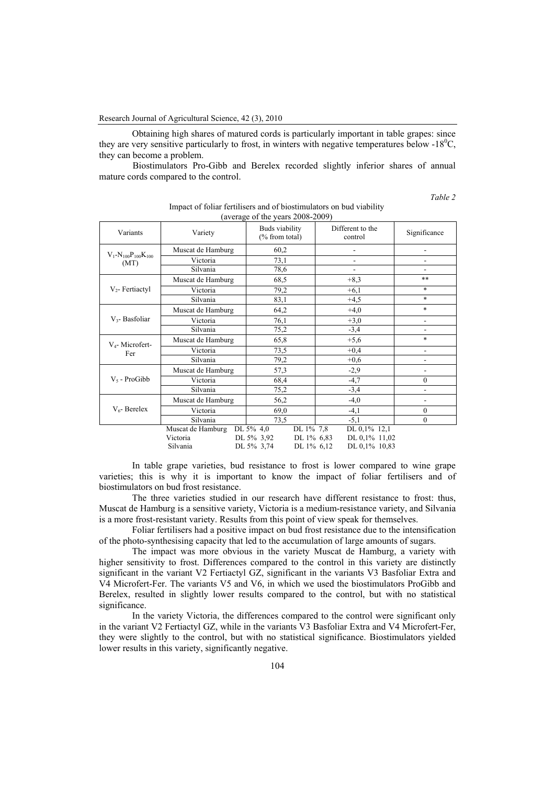Obtaining high shares of matured cords is particularly important in table grapes: since they are very sensitive particularly to frost, in winters with negative temperatures below -18 $\rm{^0C}$ , they can become a problem.

 Biostimulators Pro-Gibb and Berelex recorded slightly inferior shares of annual mature cords compared to the control.

*Table 2* 

| Variants                              | Variety           | Buds viability<br>(% from total) | Different to the<br>control | Significance             |
|---------------------------------------|-------------------|----------------------------------|-----------------------------|--------------------------|
|                                       | Muscat de Hamburg | 60,2                             |                             |                          |
| $V_1 - N_{100}P_{100}K_{100}$<br>(MT) | Victoria          | 73,1                             | ٠                           | ٠                        |
|                                       | Silvania          | 78,6                             |                             |                          |
|                                       | Muscat de Hamburg | 68,5                             | $+8,3$                      | **                       |
| $V_2$ - Fertiactyl                    | Victoria          | 79,2                             | $+6,1$                      | $\ast$                   |
|                                       | Silvania          | 83,1                             | $+4,5$                      | $\ast$                   |
|                                       | Muscat de Hamburg | 64,2                             | $+4,0$                      | $\ast$                   |
| $V_3$ - Basfoliar                     | Victoria          | 76,1                             | $+3,0$                      | $\overline{\phantom{0}}$ |
|                                       | Silvania          | 75,2                             | $-3,4$                      | $\overline{\phantom{0}}$ |
| $V_4$ - Microfert-                    | Muscat de Hamburg | 65,8                             | $+5,6$                      | $\ast$                   |
| Fer                                   | Victoria          | 73,5                             | $+0.4$                      | Ĭ.                       |
|                                       | Silvania          | 79,2                             | $+0,6$                      |                          |
|                                       | Muscat de Hamburg | 57,3                             | $-2,9$                      |                          |
| $V_5$ - ProGibb                       | Victoria          | 68,4                             | $-4,7$                      | $\mathbf{0}$             |
|                                       | Silvania          | 75,2                             | $-3,4$                      | ۰                        |
|                                       | Muscat de Hamburg | 56,2                             | $-4,0$                      |                          |
| $V_6$ - Berelex                       | Victoria          | 69,0                             | $-4,1$                      | $\mathbf{0}$             |
|                                       | Silvania          | 73,5                             | $-5,1$                      | $\mathbf{0}$             |
|                                       | Muscat de Hamburg | DL 1% 7,8<br>DL 5% 4,0           | DL 0,1% 12,1                |                          |
|                                       | Victoria          | DL 5% 3,92<br>DL 1% 6,83         | DL 0,1% 11,02               |                          |
|                                       | Silvania          | DL 5% 3,74<br>DL 1% 6,12         | DL 0,1% 10,83               |                          |

Impact of foliar fertilisers and of biostimulators on bud viability (average of the years 2008-2009)

In table grape varieties, bud resistance to frost is lower compared to wine grape varieties; this is why it is important to know the impact of foliar fertilisers and of biostimulators on bud frost resistance.

The three varieties studied in our research have different resistance to frost: thus, Muscat de Hamburg is a sensitive variety, Victoria is a medium-resistance variety, and Silvania is a more frost-resistant variety. Results from this point of view speak for themselves.

Foliar fertilisers had a positive impact on bud frost resistance due to the intensification of the photo-synthesising capacity that led to the accumulation of large amounts of sugars.

The impact was more obvious in the variety Muscat de Hamburg, a variety with higher sensitivity to frost. Differences compared to the control in this variety are distinctly significant in the variant V2 Fertiactyl GZ, significant in the variants V3 Basfoliar Extra and V4 Microfert-Fer. The variants V5 and V6, in which we used the biostimulators ProGibb and Berelex, resulted in slightly lower results compared to the control, but with no statistical significance.

In the variety Victoria, the differences compared to the control were significant only in the variant V2 Fertiactyl GZ, while in the variants V3 Basfoliar Extra and V4 Microfert-Fer, they were slightly to the control, but with no statistical significance. Biostimulators yielded lower results in this variety, significantly negative.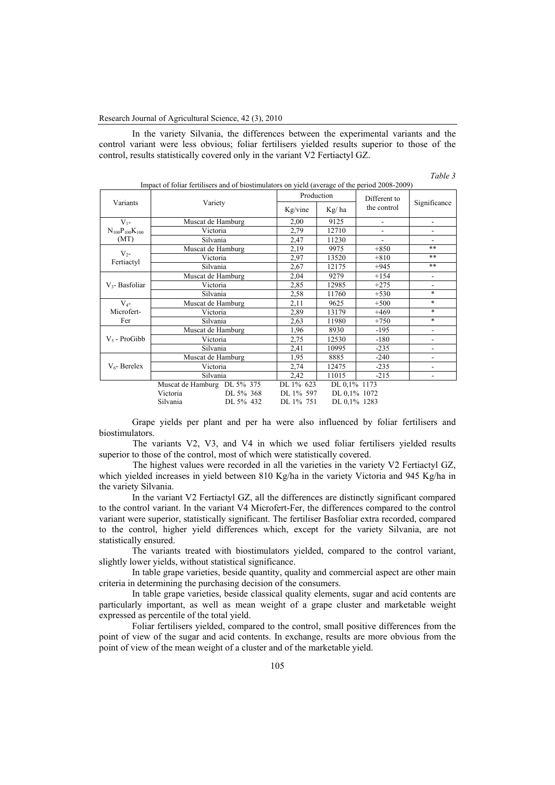In the variety Silvania, the differences between the experimental variants and the control variant were less obvious; foliar fertilisers yielded results superior to those of the control, results statistically covered only in the variant V2 Fertiactyl GZ.

| Impact of foliar fertilisers and of biostimulators on yield (average of the period 2008-2009) |                             |                   |            |              |                |                |
|-----------------------------------------------------------------------------------------------|-----------------------------|-------------------|------------|--------------|----------------|----------------|
| Variants                                                                                      | Variety                     |                   | Production |              | Different to   |                |
|                                                                                               |                             |                   | Kg/vine    | Kg/ha        | the control    | Significance   |
| $V_{1}$ -                                                                                     |                             | Muscat de Hamburg | 2,00       | 9125         | $\blacksquare$ |                |
| $N_{100}P_{100}K_{100}$                                                                       |                             | Victoria          | 2.79       | 12710        |                |                |
| (MT)                                                                                          |                             | Silvania          | 2,47       | 11230        |                |                |
| $V_{2}$ -                                                                                     |                             | Muscat de Hamburg | 2,19       | 9975         | $+850$         | **             |
| Fertiactyl                                                                                    |                             | Victoria          | 2,97       | 13520        | $+810$         | **             |
|                                                                                               |                             | Silvania          | 2,67       | 12175        | $+945$         | $***$          |
|                                                                                               | Muscat de Hamburg           |                   | 2,04       | 9279         | $+154$         |                |
| $V_3$ - Basfoliar                                                                             | Victoria                    |                   | 2,85       | 12985        | $+275$         |                |
|                                                                                               | Silvania                    |                   | 2,58       | 11760        | $+530$         | $\ast$         |
| $V_{4}$ -                                                                                     | Muscat de Hamburg           |                   | 2,11       | 9625         | $+500$         | $\ast$         |
| Microfert-                                                                                    | Victoria                    |                   | 2,89       | 13179        | $+469$         | $\ast$         |
| Fer                                                                                           | Silvania                    |                   | 2,63       | 11980        | $+750$         | $\ast$         |
|                                                                                               | Muscat de Hamburg           |                   | 1,96       | 8930         | $-195$         | $\blacksquare$ |
| $V_5$ - ProGibb                                                                               | Victoria                    |                   | 2.75       | 12530        | $-180$         |                |
|                                                                                               | Silvania                    |                   | 2,41       | 10995        | $-235$         | ۰              |
| $V_{6}$ - Berelex                                                                             | Muscat de Hamburg           |                   | 1,95       | 8885         | $-240$         |                |
|                                                                                               | Victoria                    |                   | 2,74       | 12475        | $-235$         |                |
|                                                                                               | Silvania                    |                   | 2,42       | 11015        | $-215$         | ٠              |
|                                                                                               | Muscat de Hamburg DL 5% 375 |                   | DL 1% 623  | DL 0,1% 1173 |                |                |
|                                                                                               | Victoria                    | DL 5% 368         | DL 1% 597  | DL 0.1% 1072 |                |                |
|                                                                                               | Silvania                    | DL 5% 432         | DL 1% 751  | DL 0.1% 1283 |                |                |

 $\epsilon$  of foliar fertilisers and of biostimulators on yield (average of the period 2008-2008)

*Table 3* 

Grape yields per plant and per ha were also influenced by foliar fertilisers and biostimulators.

 The variants V2, V3, and V4 in which we used foliar fertilisers yielded results superior to those of the control, most of which were statistically covered.

 The highest values were recorded in all the varieties in the variety V2 Fertiactyl GZ, which yielded increases in yield between 810 Kg/ha in the variety Victoria and 945 Kg/ha in the variety Silvania.

In the variant V2 Fertiactyl GZ, all the differences are distinctly significant compared to the control variant. In the variant V4 Microfert-Fer, the differences compared to the control variant were superior, statistically significant. The fertiliser Basfoliar extra recorded, compared to the control, higher yield differences which, except for the variety Silvania, are not statistically ensured.

The variants treated with biostimulators yielded, compared to the control variant, slightly lower yields, without statistical significance.

In table grape varieties, beside quantity, quality and commercial aspect are other main criteria in determining the purchasing decision of the consumers.

In table grape varieties, beside classical quality elements, sugar and acid contents are particularly important, as well as mean weight of a grape cluster and marketable weight expressed as percentile of the total yield.

Foliar fertilisers yielded, compared to the control, small positive differences from the point of view of the sugar and acid contents. In exchange, results are more obvious from the point of view of the mean weight of a cluster and of the marketable yield.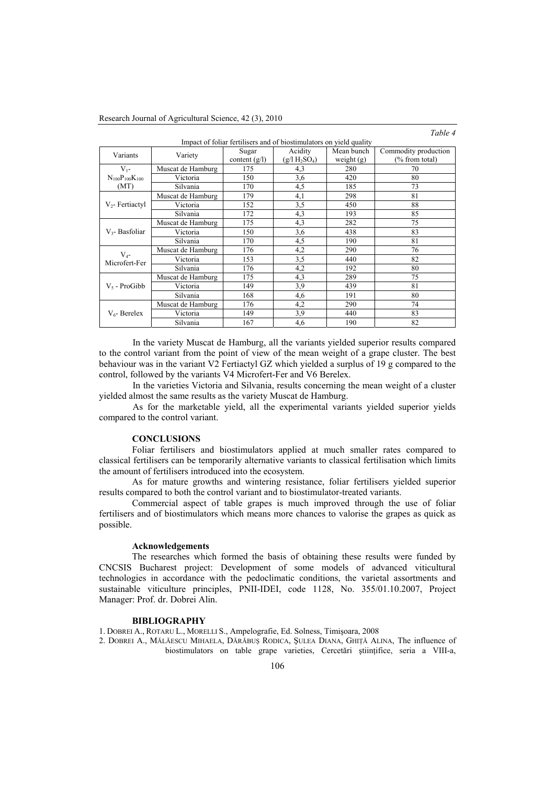## *Table 4*

| $1000 - 7$                                                          |                   |                 |                 |              |                      |  |
|---------------------------------------------------------------------|-------------------|-----------------|-----------------|--------------|----------------------|--|
| Impact of foliar fertilisers and of biostimulators on yield quality |                   |                 |                 |              |                      |  |
| Variants                                                            |                   | Sugar           | Acidity         | Mean bunch   | Commodity production |  |
|                                                                     | Variety           | content $(g/l)$ | $(g/l H_2SO_4)$ | weight $(g)$ | $(\%$ from total)    |  |
| $V_{1}$ -                                                           | Muscat de Hamburg | 175             | 4,3             | 280          | 70                   |  |
| $N_{100}P_{100}K_{100}$                                             | Victoria          | 150             | 3,6             | 420          | 80                   |  |
| (MT)                                                                | Silvania          | 170             | 4,5             | 185          | 73                   |  |
|                                                                     | Muscat de Hamburg | 179             | 4,1             | 298          | 81                   |  |
| $V_2$ - Fertiactyl                                                  | Victoria          | 152             | 3,5             | 450          | 88                   |  |
|                                                                     | Silvania          | 172             | 4,3             | 193          | 85                   |  |
|                                                                     | Muscat de Hamburg | 175             | 4,3             | 282          | 75                   |  |
| $V3$ - Basfoliar                                                    | Victoria          | 150             | 3,6             | 438          | 83                   |  |
|                                                                     | Silvania          | 170             | 4,5             | 190          | 81                   |  |
| $V_{4}$ -                                                           | Muscat de Hamburg | 176             | 4,2             | 290          | 76                   |  |
| Microfert-Fer                                                       | Victoria          | 153             | 3,5             | 440          | 82                   |  |
|                                                                     | Silvania          | 176             | 4,2             | 192          | 80                   |  |
| $V_5$ - ProGibb                                                     | Muscat de Hamburg | 175             | 4,3             | 289          | 75                   |  |
|                                                                     | Victoria          | 149             | 3,9             | 439          | 81                   |  |
|                                                                     | Silvania          | 168             | 4,6             | 191          | 80                   |  |
| $V_6$ - Berelex                                                     | Muscat de Hamburg | 176             | 4,2             | 290          | 74                   |  |
|                                                                     | Victoria          | 149             | 3,9             | 440          | 83                   |  |
|                                                                     | Silvania          | 167             | 4,6             | 190          | 82                   |  |

 In the variety Muscat de Hamburg, all the variants yielded superior results compared to the control variant from the point of view of the mean weight of a grape cluster. The best behaviour was in the variant V2 Fertiactyl GZ which yielded a surplus of 19 g compared to the control, followed by the variants V4 Microfert-Fer and V6 Berelex.

 In the varieties Victoria and Silvania, results concerning the mean weight of a cluster yielded almost the same results as the variety Muscat de Hamburg.

 As for the marketable yield, all the experimental variants yielded superior yields compared to the control variant.

#### **CONCLUSIONS**

Foliar fertilisers and biostimulators applied at much smaller rates compared to classical fertilisers can be temporarily alternative variants to classical fertilisation which limits the amount of fertilisers introduced into the ecosystem.

As for mature growths and wintering resistance, foliar fertilisers yielded superior results compared to both the control variant and to biostimulator-treated variants.

Commercial aspect of table grapes is much improved through the use of foliar fertilisers and of biostimulators which means more chances to valorise the grapes as quick as possible.

## **Acknowledgements**

The researches which formed the basis of obtaining these results were funded by CNCSIS Bucharest project: Development of some models of advanced viticultural technologies in accordance with the pedoclimatic conditions, the varietal assortments and sustainable viticulture principles, PNII-IDEI, code 1128, No. 355/01.10.2007, Project Manager: Prof. dr. Dobrei Alin.

## **BIBLIOGRAPHY**

1. DOBREI A., ROTARU L., MORELLI S., Ampelografie, Ed. Solness, Timişoara, 2008

2. DOBREI A., MĂLĂESCU MIHAELA, DĂRĂBUŞ RODICA, ŞULEA DIANA, GHIŢĂ ALINA, The influence of biostimulators on table grape varieties, Cercetări ştiinţifice, seria a VIII-a,